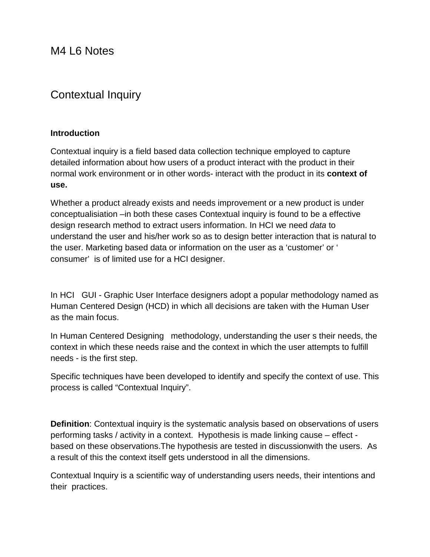M4 L6 Notes

# Contextual Inquiry

#### **Introduction**

Contextual inquiry is a field based data collection technique employed to capture detailed information about how users of a product interact with the product in their normal work environment or in other words- interact with the product in its **context of use.**

Whether a product already exists and needs improvement or a new product is under conceptualisiation –in both these cases Contextual inquiry is found to be a effective design research method to extract users information. In HCI we need *data* to understand the user and his/her work so as to design better interaction that is natural to the user. Marketing based data or information on the user as a 'customer' or ' consumer' is of limited use for a HCI designer.

In HCI GUI - Graphic User Interface designers adopt a popular methodology named as Human Centered Design (HCD) in which all decisions are taken with the Human User as the main focus.

In Human Centered Designing methodology, understanding the user s their needs, the context in which these needs raise and the context in which the user attempts to fulfill needs - is the first step.

Specific techniques have been developed to identify and specify the context of use. This process is called "Contextual Inquiry".

**Definition**: Contextual inquiry is the systematic analysis based on observations of users performing tasks / activity in a context. Hypothesis is made linking cause – effect based on these observations.The hypothesis are tested in discussionwith the users. As a result of this the context itself gets understood in all the dimensions.

Contextual Inquiry is a scientific way of understanding users needs, their intentions and their practices.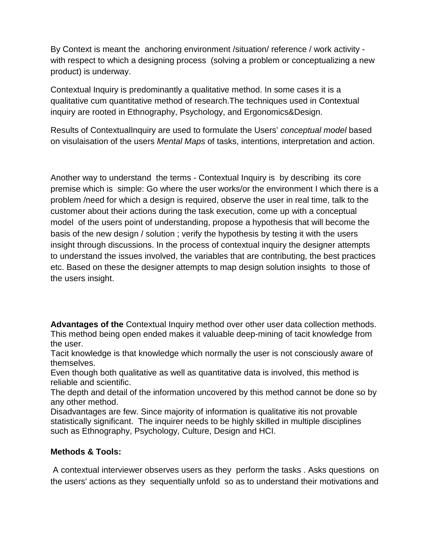By Context is meant the anchoring environment /situation/ reference / work activity with respect to which a designing process (solving a problem or conceptualizing a new product) is underway.

Contextual Inquiry is predominantly a qualitative method. In some cases it is a qualitative cum quantitative method of research.The techniques used in Contextual inquiry are rooted in Ethnography, Psychology, and Ergonomics&Design.

Results of ContextualInquiry are used to formulate the Users' *conceptual model* based on visulaisation of the users *Mental Maps* of tasks, intentions, interpretation and action.

Another way to understand the terms - Contextual Inquiry is by describing its core premise which is simple: Go where the user works/or the environment I which there is a problem /need for which a design is required, observe the user in real time, talk to the customer about their actions during the task execution, come up with a conceptual model of the users point of understanding, propose a hypothesis that will become the basis of the new design / solution ; verify the hypothesis by testing it with the users insight through discussions. In the process of contextual inquiry the designer attempts to understand the issues involved, the variables that are contributing, the best practices etc. Based on these the designer attempts to map design solution insights to those of the users insight.

**Advantages of the** Contextual Inquiry method over other user data collection methods. This method being open ended makes it valuable deep-mining of tacit knowledge from the user.

Tacit knowledge is that knowledge which normally the user is not consciously aware of themselves.

Even though both qualitative as well as quantitative data is involved, this method is reliable and scientific.

The depth and detail of the information uncovered by this method cannot be done so by any other method.

Disadvantages are few. Since majority of information is qualitative itis not provable statistically significant. The inquirer needs to be highly skilled in multiple disciplines such as Ethnography, Psychology, Culture, Design and HCI.

## **Methods & Tools:**

A contextual interviewer observes users as they perform the tasks . Asks questions on the users' actions as they sequentially unfold so as to understand their motivations and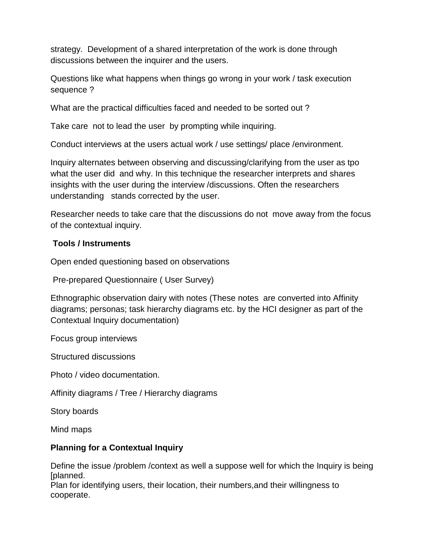strategy. Development of a shared interpretation of the work is done through discussions between the inquirer and the users.

Questions like what happens when things go wrong in your work / task execution sequence ?

What are the practical difficulties faced and needed to be sorted out ?

Take care not to lead the user by prompting while inquiring.

Conduct interviews at the users actual work / use settings/ place /environment.

Inquiry alternates between observing and discussing/clarifying from the user as tpo what the user did and why. In this technique the researcher interprets and shares insights with the user during the interview /discussions. Often the researchers understanding stands corrected by the user.

Researcher needs to take care that the discussions do not move away from the focus of the contextual inquiry.

#### **Tools / Instruments**

Open ended questioning based on observations

Pre-prepared Questionnaire ( User Survey)

Ethnographic observation dairy with notes (These notes are converted into Affinity diagrams; personas; task hierarchy diagrams etc. by the HCI designer as part of the Contextual Inquiry documentation)

Focus group interviews

Structured discussions

Photo / video documentation.

Affinity diagrams / Tree / Hierarchy diagrams

Story boards

Mind maps

#### **Planning for a Contextual Inquiry**

Define the issue /problem /context as well a suppose well for which the Inquiry is being [planned.

Plan for identifying users, their location, their numbers,and their willingness to cooperate.